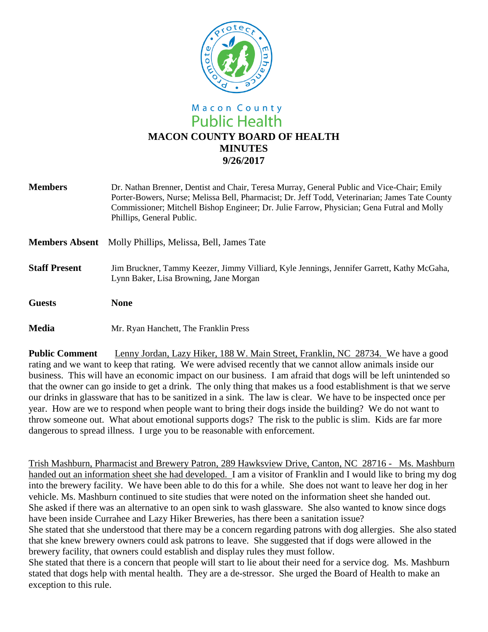

# Macon County **Public Health MACON COUNTY BOARD OF HEALTH MINUTES 9/26/2017**

| <b>Members</b>       | Dr. Nathan Brenner, Dentist and Chair, Teresa Murray, General Public and Vice-Chair; Emily<br>Porter-Bowers, Nurse; Melissa Bell, Pharmacist; Dr. Jeff Todd, Veterinarian; James Tate County<br>Commissioner; Mitchell Bishop Engineer; Dr. Julie Farrow, Physician; Gena Futral and Molly<br>Phillips, General Public. |
|----------------------|-------------------------------------------------------------------------------------------------------------------------------------------------------------------------------------------------------------------------------------------------------------------------------------------------------------------------|
|                      | <b>Members Absent</b> Molly Phillips, Melissa, Bell, James Tate                                                                                                                                                                                                                                                         |
| <b>Staff Present</b> | Jim Bruckner, Tammy Keezer, Jimmy Villiard, Kyle Jennings, Jennifer Garrett, Kathy McGaha,<br>Lynn Baker, Lisa Browning, Jane Morgan                                                                                                                                                                                    |
| <b>Guests</b>        | <b>None</b>                                                                                                                                                                                                                                                                                                             |
| <b>Media</b>         | Mr. Ryan Hanchett, The Franklin Press                                                                                                                                                                                                                                                                                   |

**Public Comment** Lenny Jordan, Lazy Hiker, 188 W. Main Street, Franklin, NC 28734. We have a good rating and we want to keep that rating. We were advised recently that we cannot allow animals inside our business. This will have an economic impact on our business. I am afraid that dogs will be left unintended so that the owner can go inside to get a drink. The only thing that makes us a food establishment is that we serve our drinks in glassware that has to be sanitized in a sink. The law is clear. We have to be inspected once per year. How are we to respond when people want to bring their dogs inside the building? We do not want to throw someone out. What about emotional supports dogs? The risk to the public is slim. Kids are far more dangerous to spread illness. I urge you to be reasonable with enforcement.

Trish Mashburn, Pharmacist and Brewery Patron, 289 Hawksview Drive, Canton, NC 28716 - Ms. Mashburn handed out an information sheet she had developed. I am a visitor of Franklin and I would like to bring my dog into the brewery facility. We have been able to do this for a while. She does not want to leave her dog in her vehicle. Ms. Mashburn continued to site studies that were noted on the information sheet she handed out. She asked if there was an alternative to an open sink to wash glassware. She also wanted to know since dogs have been inside Currahee and Lazy Hiker Breweries, has there been a sanitation issue?

She stated that she understood that there may be a concern regarding patrons with dog allergies. She also stated that she knew brewery owners could ask patrons to leave. She suggested that if dogs were allowed in the brewery facility, that owners could establish and display rules they must follow.

She stated that there is a concern that people will start to lie about their need for a service dog. Ms. Mashburn stated that dogs help with mental health. They are a de-stressor. She urged the Board of Health to make an exception to this rule.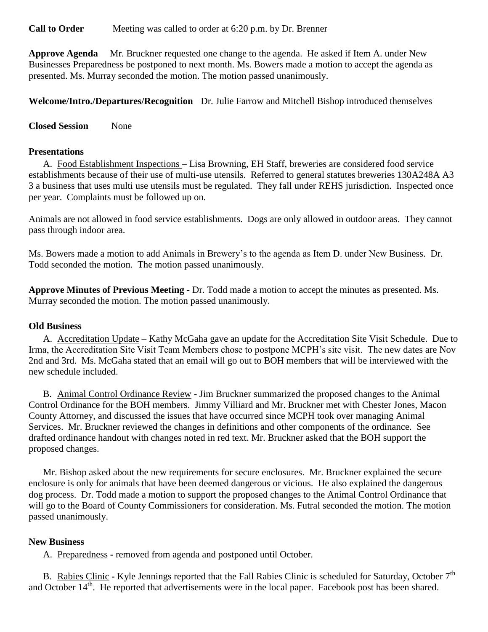**Call to Order** Meeting was called to order at 6:20 p.m. by Dr. Brenner

**Approve Agenda** Mr. Bruckner requested one change to the agenda. He asked if Item A. under New Businesses Preparedness be postponed to next month. Ms. Bowers made a motion to accept the agenda as presented. Ms. Murray seconded the motion. The motion passed unanimously.

**Welcome/Intro./Departures/Recognition** Dr. Julie Farrow and Mitchell Bishop introduced themselves

**Closed Session** None

## **Presentations**

A. Food Establishment Inspections – Lisa Browning, EH Staff, breweries are considered food service establishments because of their use of multi-use utensils. Referred to general statutes breweries 130A248A A3 3 a business that uses multi use utensils must be regulated. They fall under REHS jurisdiction. Inspected once per year. Complaints must be followed up on.

Animals are not allowed in food service establishments. Dogs are only allowed in outdoor areas. They cannot pass through indoor area.

Ms. Bowers made a motion to add Animals in Brewery's to the agenda as Item D. under New Business. Dr. Todd seconded the motion. The motion passed unanimously.

**Approve Minutes of Previous Meeting -** Dr. Todd made a motion to accept the minutes as presented. Ms. Murray seconded the motion. The motion passed unanimously.

### **Old Business**

A. Accreditation Update – Kathy McGaha gave an update for the Accreditation Site Visit Schedule. Due to Irma, the Accreditation Site Visit Team Members chose to postpone MCPH's site visit. The new dates are Nov 2nd and 3rd. Ms. McGaha stated that an email will go out to BOH members that will be interviewed with the new schedule included.

B. Animal Control Ordinance Review - Jim Bruckner summarized the proposed changes to the Animal Control Ordinance for the BOH members. Jimmy Villiard and Mr. Bruckner met with Chester Jones, Macon County Attorney, and discussed the issues that have occurred since MCPH took over managing Animal Services. Mr. Bruckner reviewed the changes in definitions and other components of the ordinance. See drafted ordinance handout with changes noted in red text. Mr. Bruckner asked that the BOH support the proposed changes.

Mr. Bishop asked about the new requirements for secure enclosures. Mr. Bruckner explained the secure enclosure is only for animals that have been deemed dangerous or vicious. He also explained the dangerous dog process. Dr. Todd made a motion to support the proposed changes to the Animal Control Ordinance that will go to the Board of County Commissioners for consideration. Ms. Futral seconded the motion. The motion passed unanimously.

## **New Business**

A. Preparedness **-** removed from agenda and postponed until October.

B. Rabies Clinic **-** Kyle Jennings reported that the Fall Rabies Clinic is scheduled for Saturday, October 7<sup>th</sup> and October 14<sup>th</sup>. He reported that advertisements were in the local paper. Facebook post has been shared.